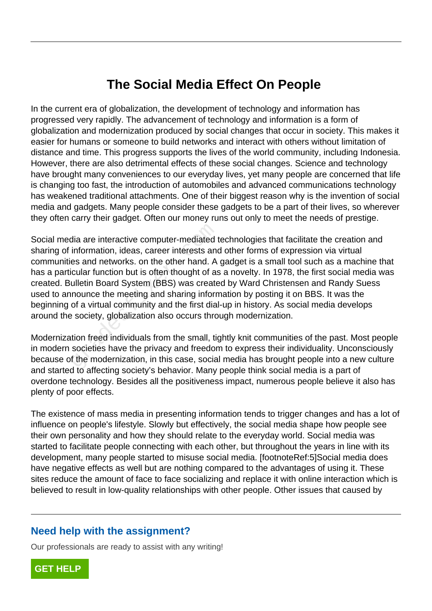# **The Social Media Effect On People**

In the current era of globalization, the development of technology and information has progressed very rapidly. The advancement of technology and information is a form of globalization and modernization produced by social changes that occur in society. This makes it easier for humans or someone to build networks and interact with others without limitation of distance and time. This progress supports the lives of the world community, including Indonesia. However, there are also detrimental effects of these social changes. Science and technology have brought many conveniences to our everyday lives, yet many people are concerned that life is changing too fast, the introduction of automobiles and advanced communications technology has weakened traditional attachments. One of their biggest reason why is the invention of social media and gadgets. Many people consider these gadgets to be a part of their lives, so wherever they often carry their gadget. Often our money runs out only to meet the needs of prestige.

Social media are interactive computer-mediated technologies that facilitate the creation and sharing of information, ideas, career interests and other forms of expression via virtual communities and networks. on the other hand. A gadget is a small tool such as a machine that has a particular function but is often thought of as a novelty. In 1978, the first social media was created. Bulletin Board System (BBS) was created by Ward Christensen and Randy Suess used to announce the meeting and sharing information by posting it on BBS. It was the beginning of a virtual community and the first dial-up in history. As social media develops around the society, globalization also occurs through modernization. dia are interactive computer-mediated information, ideas, career interests and<br>es and networks. on the other hand. A<br>cular function but is often thought of as<br>ulletin Board System (BBS) was create<br>nounce the meeting and sh

Modernization freed individuals from the small, tightly knit communities of the past. Most people in modern societies have the privacy and freedom to express their individuality. Unconsciously because of the modernization, in this case, social media has brought people into a new culture and started to affecting society's behavior. Many people think social media is a part of overdone technology. Besides all the positiveness impact, numerous people believe it also has plenty of poor effects.

The existence of mass media in presenting information tends to trigger changes and has a lot of influence on people's lifestyle. Slowly but effectively, the social media shape how people see their own personality and how they should relate to the everyday world. Social media was started to facilitate people connecting with each other, but throughout the years in line with its development, many people started to misuse social media. [footnoteRef:5]Social media does have negative effects as well but are nothing compared to the advantages of using it. These sites reduce the amount of face to face socializing and replace it with online interaction which is believed to result in low-quality relationships with other people. Other issues that caused by

# **Need help with the assignment?**

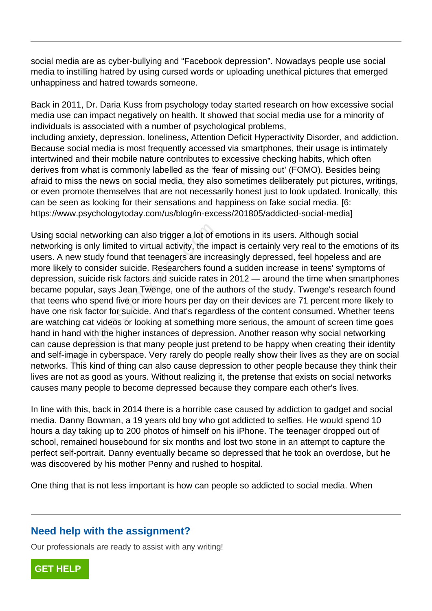social media are as cyber-bullying and "Facebook depression". Nowadays people use social media to instilling hatred by using cursed words or uploading unethical pictures that emerged unhappiness and hatred towards someone.

Back in 2011, Dr. Daria Kuss from psychology today started research on how excessive social media use can impact negatively on health. It showed that social media use for a minority of individuals is associated with a number of psychological problems, including anxiety, depression, loneliness, Attention Deficit Hyperactivity Disorder, and addiction. Because social media is most frequently accessed via smartphones, their usage is intimately intertwined and their mobile nature contributes to excessive checking habits, which often derives from what is commonly labelled as the 'fear of missing out' (FOMO). Besides being afraid to miss the news on social media, they also sometimes deliberately put pictures, writings, or even promote themselves that are not necessarily honest just to look updated. Ironically, this can be seen as looking for their sensations and happiness on fake social media. [6: https://www.psychologytoday.com/us/blog/in-excess/201805/addicted-social-media]

Using social networking can also trigger a lot of emotions in its users. Although social networking is only limited to virtual activity, the impact is certainly very real to the emotions of its users. A new study found that teenagers are increasingly depressed, feel hopeless and are more likely to consider suicide. Researchers found a sudden increase in teens' symptoms of depression, suicide risk factors and suicide rates in 2012 — around the time when smartphones became popular, says Jean Twenge, one of the authors of the study. Twenge's research found that teens who spend five or more hours per day on their devices are 71 percent more likely to have one risk factor for suicide. And that's regardless of the content consumed. Whether teens are watching cat videos or looking at something more serious, the amount of screen time goes hand in hand with the higher instances of depression. Another reason why social networking can cause depression is that many people just pretend to be happy when creating their identity and self-image in cyberspace. Very rarely do people really show their lives as they are on social networks. This kind of thing can also cause depression to other people because they think their lives are not as good as yours. Without realizing it, the pretense that exists on social networks causes many people to become depressed because they compare each other's lives. al networking can also trigger a lot of e<br>is only limited to virtual activity, the im<br>ew study found that teenagers are incre<br>to consider suicide. Researchers four<br>i, suicide risk factors and suicide rates<br>opular, says Jea

In line with this, back in 2014 there is a horrible case caused by addiction to gadget and social media. Danny Bowman, a 19 years old boy who got addicted to selfies. He would spend 10 hours a day taking up to 200 photos of himself on his iPhone. The teenager dropped out of school, remained housebound for six months and lost two stone in an attempt to capture the perfect self-portrait. Danny eventually became so depressed that he took an overdose, but he was discovered by his mother Penny and rushed to hospital.

One thing that is not less important is how can people so addicted to social media. When

# **Need help with the assignment?**

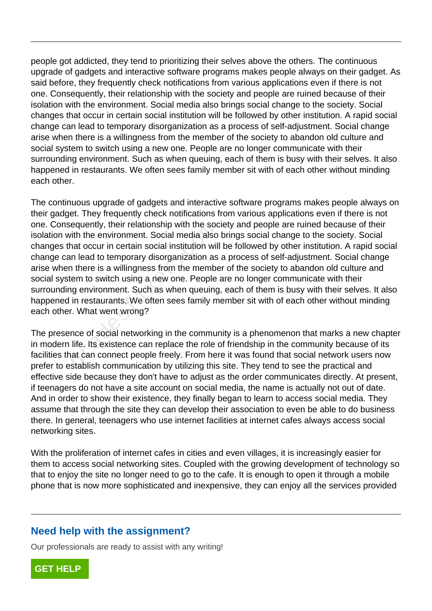people got addicted, they tend to prioritizing their selves above the others. The continuous upgrade of gadgets and interactive software programs makes people always on their gadget. As said before, they frequently check notifications from various applications even if there is not one. Consequently, their relationship with the society and people are ruined because of their isolation with the environment. Social media also brings social change to the society. Social changes that occur in certain social institution will be followed by other institution. A rapid social change can lead to temporary disorganization as a process of self-adjustment. Social change arise when there is a willingness from the member of the society to abandon old culture and social system to switch using a new one. People are no longer communicate with their surrounding environment. Such as when queuing, each of them is busy with their selves. It also happened in restaurants. We often sees family member sit with of each other without minding each other.

The continuous upgrade of gadgets and interactive software programs makes people always on their gadget. They frequently check notifications from various applications even if there is not one. Consequently, their relationship with the society and people are ruined because of their isolation with the environment. Social media also brings social change to the society. Social changes that occur in certain social institution will be followed by other institution. A rapid social change can lead to temporary disorganization as a process of self-adjustment. Social change arise when there is a willingness from the member of the society to abandon old culture and social system to switch using a new one. People are no longer communicate with their surrounding environment. Such as when queuing, each of them is busy with their selves. It also happened in restaurants. We often sees family member sit with of each other without minding each other. What went wrong? equently, their relationship with the social<br>ith the environment. Social media also<br>nat occur in certain social institution wil<br>n lead to temporary disorganization as<br>n there is a willingness from the membe<br>em to switch us

The presence of social networking in the community is a phenomenon that marks a new chapter in modern life. Its existence can replace the role of friendship in the community because of its facilities that can connect people freely. From here it was found that social network users now prefer to establish communication by utilizing this site. They tend to see the practical and effective side because they don't have to adjust as the order communicates directly. At present, if teenagers do not have a site account on social media, the name is actually not out of date. And in order to show their existence, they finally began to learn to access social media. They assume that through the site they can develop their association to even be able to do business there. In general, teenagers who use internet facilities at internet cafes always access social networking sites.

With the proliferation of internet cafes in cities and even villages, it is increasingly easier for them to access social networking sites. Coupled with the growing development of technology so that to enjoy the site no longer need to go to the cafe. It is enough to open it through a mobile phone that is now more sophisticated and inexpensive, they can enjoy all the services provided

### **Need help with the assignment?**

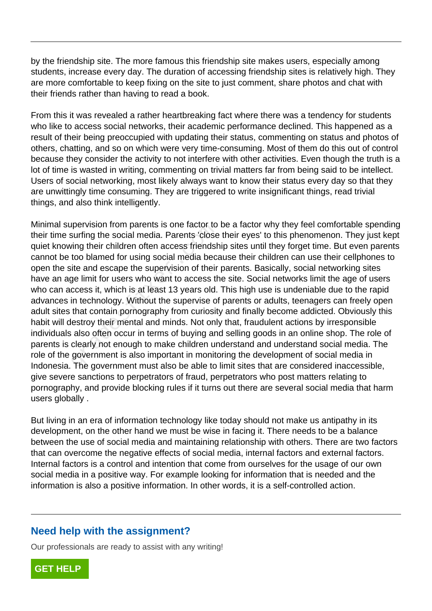by the friendship site. The more famous this friendship site makes users, especially among students, increase every day. The duration of accessing friendship sites is relatively high. They are more comfortable to keep fixing on the site to just comment, share photos and chat with their friends rather than having to read a book.

From this it was revealed a rather heartbreaking fact where there was a tendency for students who like to access social networks, their academic performance declined. This happened as a result of their being preoccupied with updating their status, commenting on status and photos of others, chatting, and so on which were very time-consuming. Most of them do this out of control because they consider the activity to not interfere with other activities. Even though the truth is a lot of time is wasted in writing, commenting on trivial matters far from being said to be intellect. Users of social networking, most likely always want to know their status every day so that they are unwittingly time consuming. They are triggered to write insignificant things, read trivial things, and also think intelligently.

Minimal supervision from parents is one factor to be a factor why they feel comfortable spending their time surfing the social media. Parents 'close their eyes' to this phenomenon. They just kept quiet knowing their children often access friendship sites until they forget time. But even parents cannot be too blamed for using social media because their children can use their cellphones to open the site and escape the supervision of their parents. Basically, social networking sites have an age limit for users who want to access the site. Social networks limit the age of users who can access it, which is at least 13 years old. This high use is undeniable due to the rapid advances in technology. Without the supervise of parents or adults, teenagers can freely open adult sites that contain pornography from curiosity and finally become addicted. Obviously this habit will destroy their mental and minds. Not only that, fraudulent actions by irresponsible individuals also often occur in terms of buying and selling goods in an online shop. The role of parents is clearly not enough to make children understand and understand social media. The role of the government is also important in monitoring the development of social media in Indonesia. The government must also be able to limit sites that are considered inaccessible, give severe sanctions to perpetrators of fraud, perpetrators who post matters relating to pornography, and provide blocking rules if it turns out there are several social media that harm users globally . pervision nom parents is one ractor to<br>surfing the social media. Parents 'close<br>ving their children often access friendsh<br>too blamed for using social media becate<br>ite and escape the supervision of their<br>ge limit for users

But living in an era of information technology like today should not make us antipathy in its development, on the other hand we must be wise in facing it. There needs to be a balance between the use of social media and maintaining relationship with others. There are two factors that can overcome the negative effects of social media, internal factors and external factors. Internal factors is a control and intention that come from ourselves for the usage of our own social media in a positive way. For example looking for information that is needed and the information is also a positive information. In other words, it is a self-controlled action.

# **Need help with the assignment?**